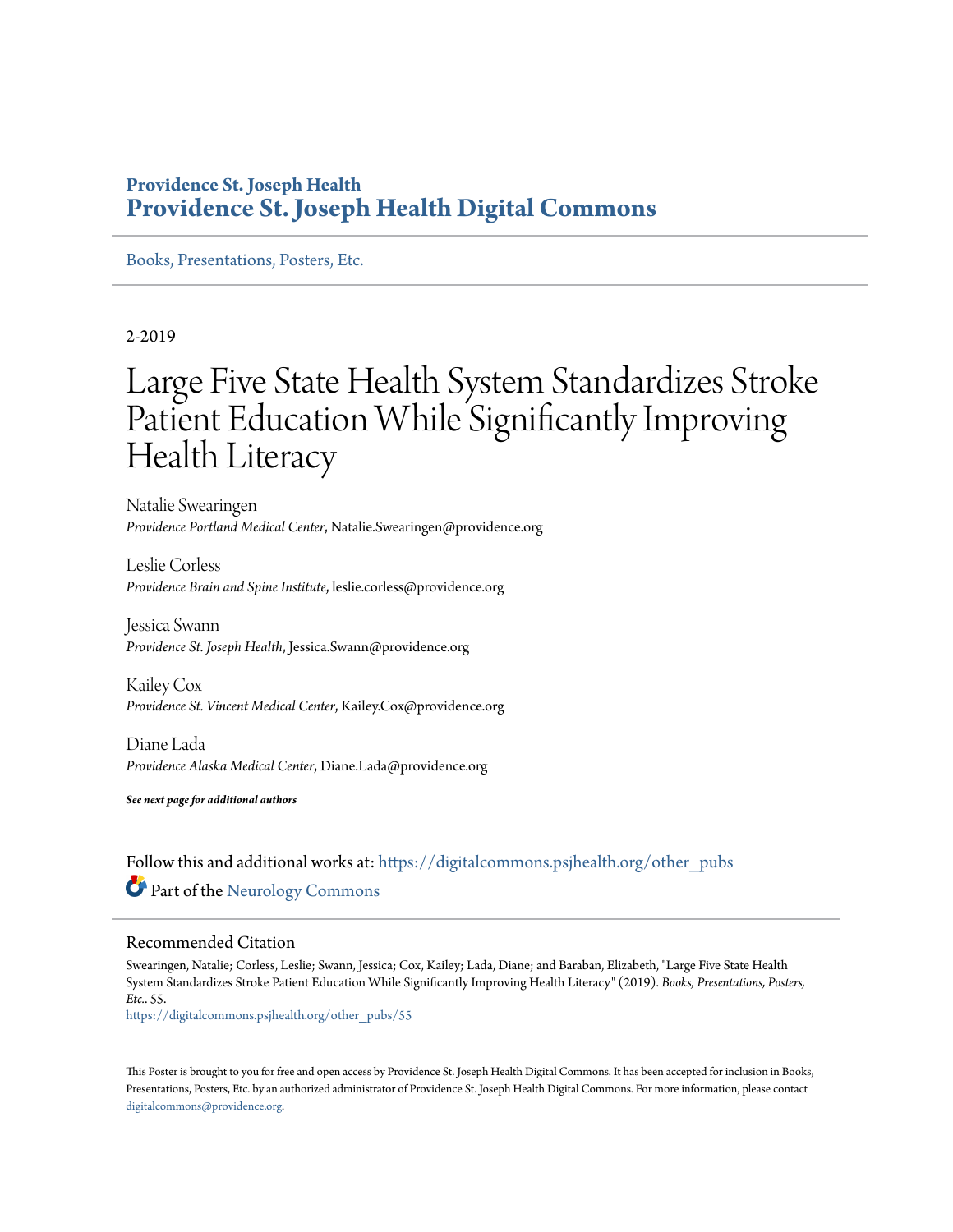#### **Providence St. Joseph Health [Providence St. Joseph Health Digital Commons](https://digitalcommons.psjhealth.org?utm_source=digitalcommons.psjhealth.org%2Fother_pubs%2F55&utm_medium=PDF&utm_campaign=PDFCoverPages)**

[Books, Presentations, Posters, Etc.](https://digitalcommons.psjhealth.org/other_pubs?utm_source=digitalcommons.psjhealth.org%2Fother_pubs%2F55&utm_medium=PDF&utm_campaign=PDFCoverPages)

#### 2-2019

### Large Five State Health System Standardizes Stroke Patient Education While Significantly Improving Health Literacy

Natalie Swearingen *Providence Portland Medical Center*, Natalie.Swearingen@providence.org

Leslie Corless *Providence Brain and Spine Institute*, leslie.corless@providence.org

Jessica Swann *Providence St. Joseph Health*, Jessica.Swann@providence.org

Kailey Cox *Providence St. Vincent Medical Center*, Kailey.Cox@providence.org

Diane Lada *Providence Alaska Medical Center*, Diane.Lada@providence.org

*See next page for additional authors*

Follow this and additional works at: [https://digitalcommons.psjhealth.org/other\\_pubs](https://digitalcommons.psjhealth.org/other_pubs?utm_source=digitalcommons.psjhealth.org%2Fother_pubs%2F55&utm_medium=PDF&utm_campaign=PDFCoverPages) Part of the [Neurology Commons](http://network.bepress.com/hgg/discipline/692?utm_source=digitalcommons.psjhealth.org%2Fother_pubs%2F55&utm_medium=PDF&utm_campaign=PDFCoverPages)

#### Recommended Citation

Swearingen, Natalie; Corless, Leslie; Swann, Jessica; Cox, Kailey; Lada, Diane; and Baraban, Elizabeth, "Large Five State Health System Standardizes Stroke Patient Education While Significantly Improving Health Literacy" (2019). *Books, Presentations, Posters, Etc.*. 55.

[https://digitalcommons.psjhealth.org/other\\_pubs/55](https://digitalcommons.psjhealth.org/other_pubs/55?utm_source=digitalcommons.psjhealth.org%2Fother_pubs%2F55&utm_medium=PDF&utm_campaign=PDFCoverPages)

This Poster is brought to you for free and open access by Providence St. Joseph Health Digital Commons. It has been accepted for inclusion in Books, Presentations, Posters, Etc. by an authorized administrator of Providence St. Joseph Health Digital Commons. For more information, please contact [digitalcommons@providence.org](mailto:digitalcommons@providence.org).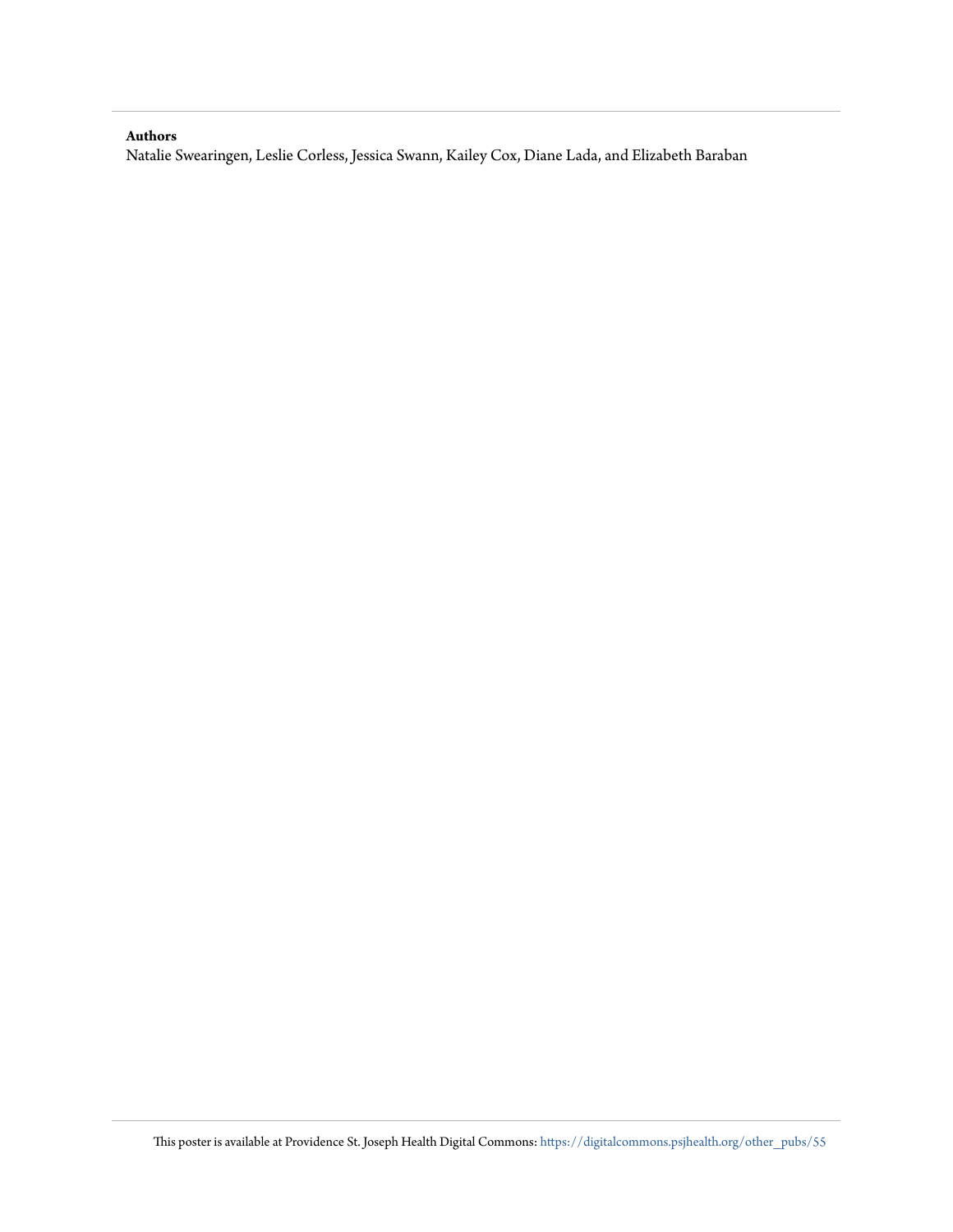#### **Authors**

Natalie Swearingen, Leslie Corless, Jessica Swann, Kailey Cox, Diane Lada, and Elizabeth Baraban